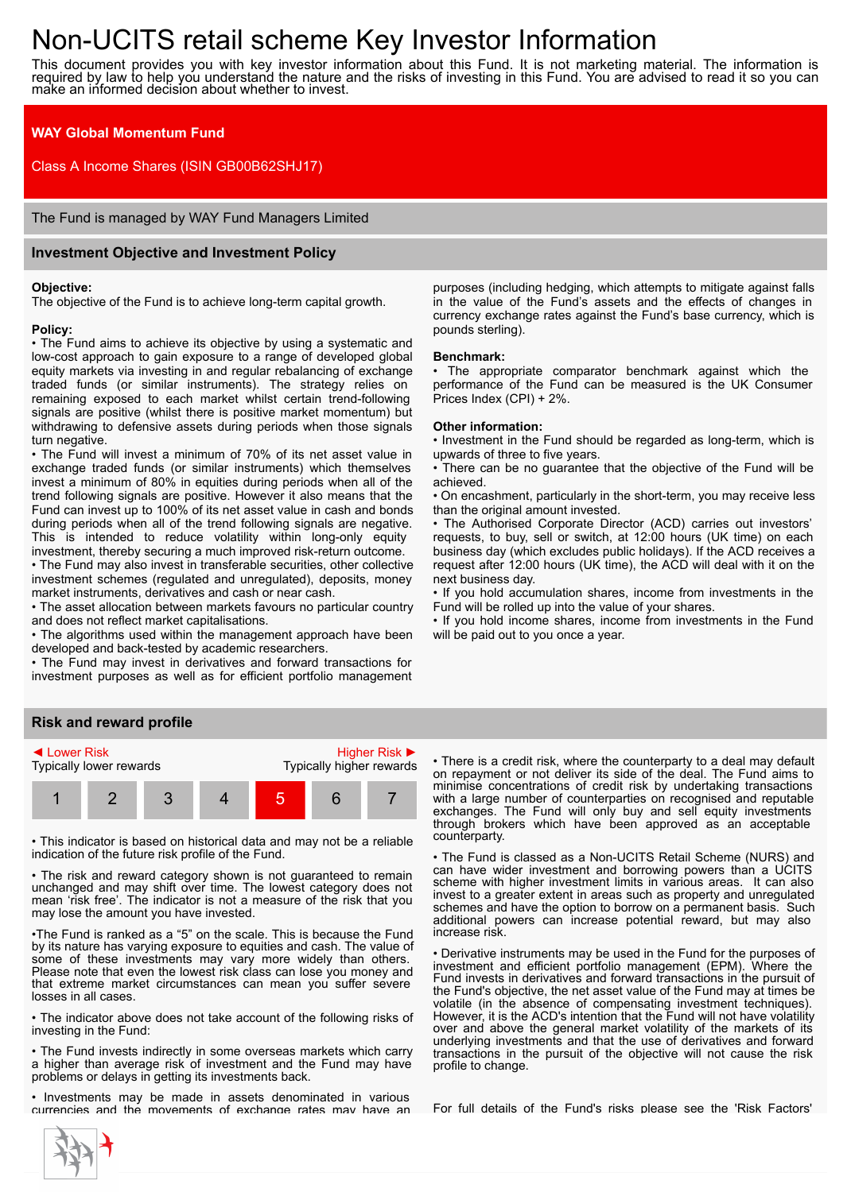# Non-UCITS retail scheme Key Investor Information

This document provides you with key investor information about this Fund. It is not marketing material. The information is required by law to help you understand the nature and the risks of investing in this Fund. You are advised to read it so you can make an informed decision about whether to invest.

# **WAY Global Momentum Fund**

Class A Income Shares (ISIN GB00B62SHJ17)

The Fund is managed by WAY Fund Managers Limited

# **Investment Objective and Investment Policy**

#### **Objective:**

The objective of the Fund is to achieve long-term capital growth.

#### **Policy:**

• The Fund aims to achieve its objective by using a systematic and low-cost approach to gain exposure to a range of developed global equity markets via investing in and regular rebalancing of exchange traded funds (or similar instruments). The strategy relies on remaining exposed to each market whilst certain trend-following signals are positive (whilst there is positive market momentum) but withdrawing to defensive assets during periods when those signals turn negative.

• The Fund will invest a minimum of 70% of its net asset value in exchange traded funds (or similar instruments) which themselves invest a minimum of 80% in equities during periods when all of the trend following signals are positive. However it also means that the Fund can invest up to 100% of its net asset value in cash and bonds during periods when all of the trend following signals are negative. This is intended to reduce volatility within long-only equity investment, thereby securing a much improved risk-return outcome.

• The Fund may also invest in transferable securities, other collective investment schemes (regulated and unregulated), deposits, money market instruments, derivatives and cash or near cash.

• The asset allocation between markets favours no particular country and does not reflect market capitalisations.

• The algorithms used within the management approach have been developed and back-tested by academic researchers.

• The Fund may invest in derivatives and forward transactions for investment purposes as well as for efficient portfolio management

#### **Risk and reward profile**



• This indicator is based on historical data and may not be a reliable indication of the future risk profile of the Fund.

• The risk and reward category shown is not guaranteed to remain unchanged and may shift over time. The lowest category does not mean 'risk free'. The indicator is not a measure of the risk that you may lose the amount you have invested.

•The Fund is ranked as a "5" on the scale. This is because the Fund by its nature has varying exposure to equities and cash. The value of some of these investments may vary more widely than others. Please note that even the lowest risk class can lose you money and that extreme market circumstances can mean you suffer severe losses in all cases.

• The indicator above does not take account of the following risks of investing in the Fund:

• The Fund invests indirectly in some overseas markets which carry a higher than average risk of investment and the Fund may have problems or delays in getting its investments back.

• Investments may be made in assets denominated in various currencies and the movements of exchange rates may have an

purposes (including hedging, which attempts to mitigate against falls in the value of the Fund's assets and the effects of changes in currency exchange rates against the Fund's base currency, which is pounds sterling).

#### **Benchmark:**

• The appropriate comparator benchmark against which the performance of the Fund can be measured is the UK Consumer Prices Index (CPI) + 2%.

#### **Other information:**

• Investment in the Fund should be regarded as long-term, which is upwards of three to five years.

• There can be no guarantee that the objective of the Fund will be achieved.

• On encashment, particularly in the short-term, you may receive less than the original amount invested.

• The Authorised Corporate Director (ACD) carries out investors' requests, to buy, sell or switch, at 12:00 hours (UK time) on each business day (which excludes public holidays). If the ACD receives a request after 12:00 hours (UK time), the ACD will deal with it on the next business day.

• If you hold accumulation shares, income from investments in the Fund will be rolled up into the value of your shares.

• If you hold income shares, income from investments in the Fund will be paid out to you once a year.

• There is a credit risk, where the counterparty to a deal may default on repayment or not deliver its side of the deal. The Fund aims to minimise concentrations of credit risk by undertaking transactions with a large number of counterparties on recognised and reputable exchanges. The Fund will only buy and sell equity investments through brokers which have been approved as an acceptable counterparty.

• The Fund is classed as a Non-UCITS Retail Scheme (NURS) and can have wider investment and borrowing powers than a UCITS scheme with higher investment limits in various areas. It can also invest to a greater extent in areas such as property and unregulated schemes and have the option to borrow on a permanent basis. Such additional powers can increase potential reward, but may also increase risk.

• Derivative instruments may be used in the Fund for the purposes of investment and efficient portfolio management (EPM). Where the Fund invests in derivatives and forward transactions in the pursuit of the Fund's objective, the net asset value of the Fund may at times be volatile (in the absence of compensating investment techniques). However, it is the ACD's intention that the Fund will not have volatility over and above the general market volatility of the markets of its underlying investments and that the use of derivatives and forward transactions in the pursuit of the objective will not cause the risk profile to change.

For full details of the Fund's risks please see the 'Risk Factors'